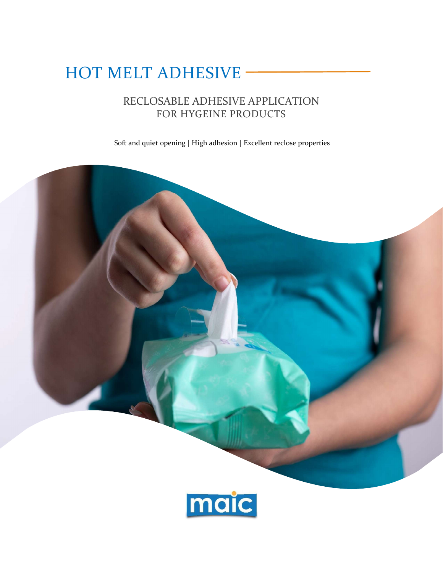# HOT MELT ADHESIVE

# RECLOSABLE ADHESIVE APPLICATION FOR HYGEINE PRODUCTS

Soft and quiet opening | High adhesion | Excellent reclose properties